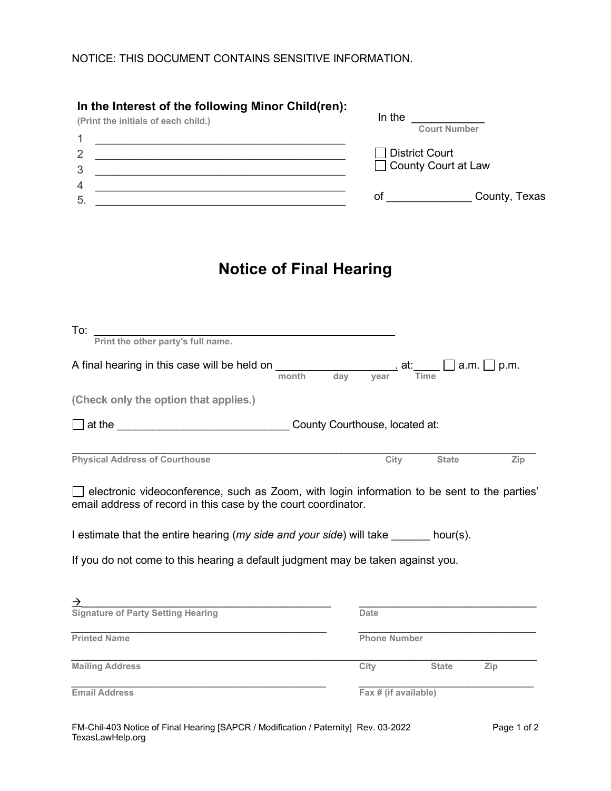| In the Interest of the following Minor Child(ren):<br>(Print the initials of each child.)<br>4 | In the<br><b>Court Number</b> |  |  |
|------------------------------------------------------------------------------------------------|-------------------------------|--|--|
| $\overline{2}$                                                                                 | <b>District Court</b>         |  |  |
| 3                                                                                              | □ County Court at Law         |  |  |
| 4                                                                                              | County, Texas                 |  |  |
| 5                                                                                              | Οt                            |  |  |

## **Notice of Final Hearing**

| To:                                                                                                                                                                  |                      |              |     |
|----------------------------------------------------------------------------------------------------------------------------------------------------------------------|----------------------|--------------|-----|
| Print the other party's full name.                                                                                                                                   |                      |              |     |
| A final hearing in this case will be held on $\frac{1}{\text{month}}$ day year $\frac{1}{\text{Time}}$ a.m. $\Box$ p.m.                                              |                      |              |     |
| (Check only the option that applies.)                                                                                                                                |                      |              |     |
|                                                                                                                                                                      |                      |              |     |
| <b>Physical Address of Courthouse</b>                                                                                                                                | City                 | <b>State</b> | Zip |
| $\Box$ electronic videoconference, such as Zoom, with login information to be sent to the parties'<br>email address of record in this case by the court coordinator. |                      |              |     |
| I estimate that the entire hearing (my side and your side) will take _______ hour(s).                                                                                |                      |              |     |
| If you do not come to this hearing a default judgment may be taken against you.                                                                                      |                      |              |     |
|                                                                                                                                                                      |                      |              |     |
| $\overrightarrow{S}$<br>Signature of Party Setting Hearing                                                                                                           | <b>Date</b>          |              |     |
| <b>Printed Name</b>                                                                                                                                                  | <b>Phone Number</b>  |              |     |
| <b>Mailing Address</b>                                                                                                                                               | City                 | <b>State</b> | Zip |
| <b>Email Address</b>                                                                                                                                                 | Fax # (if available) |              |     |